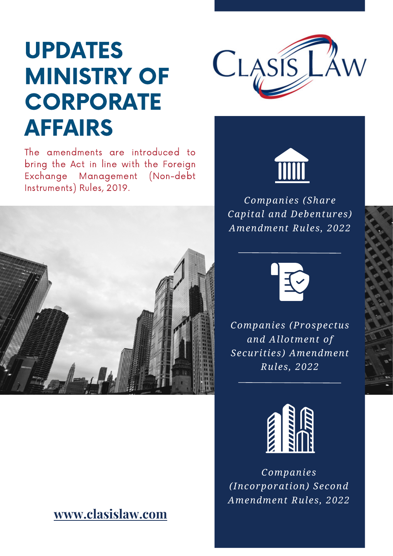# UPDATES MINISTRY OF **CORPORATE** AFFAIRS



The amendments are introduced to bring the Act in line with the Foreign Exchange Management (Non-debt Instruments) Rules, 2019.



#### **[www.clasislaw.com](http://www.clasislaw.com/)**



*Companies (Share Capital and Debentures) Amendment Rules, 2022*



*Companies (Prospectus and Allotment of Securities) Amendment Rules, 2022*



*Companies (Incorporation) Second Amendment Rules, 2022*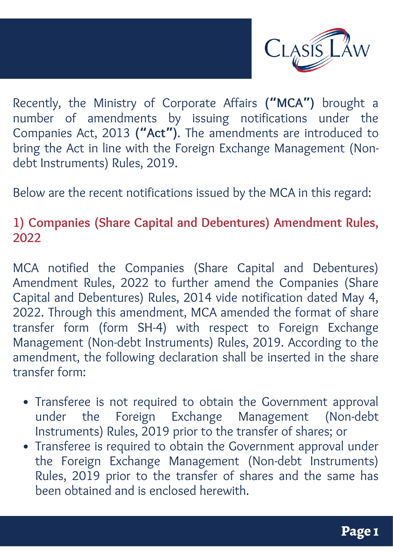

Recently, the Ministry of Corporate Affairs **("MCA")** brought a number of amendments by issuing notifications under the Companies Act, 2013 **("Act")**. The amendments are introduced to bring the Act in line with the Foreign Exchange Management (Nondebt Instruments) Rules, 2019.

Below are the recent notifications issued by the MCA in this regard:

#### **1) Companies (Share Capital and Debentures) Amendment Rules, 2022**

MCA notified the Companies (Share Capital and Debentures) Amendment Rules, 2022 to further amend the Companies (Share Capital and Debentures) Rules, 2014 vide notification dated May 4, 2022. Through this amendment, MCA amended the format of share transfer form (form SH-4) with respect to Foreign Exchange Management (Non-debt Instruments) Rules, 2019. According to the amendment, the following declaration shall be inserted in the share transfer form:

- Transferee is not required to obtain the Government approval under the Foreign Exchange Management (Non-debt Instruments) Rules, 2019 prior to the transfer of shares; or
- Transferee is required to obtain the Government approval under the Foreign Exchange Management (Non-debt Instruments) Rules, 2019 prior to the transfer of shares and the same has been obtained and is enclosed herewith.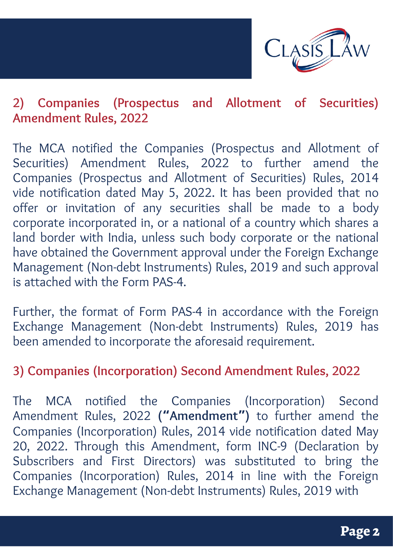

## **2) Companies (Prospectus and Allotment of Securities) Amendment Rules, 2022**

The MCA notified the Companies (Prospectus and Allotment of Securities) Amendment Rules, 2022 to further amend the Companies (Prospectus and Allotment of Securities) Rules, 2014 vide notification dated May 5, 2022. It has been provided that no offer or invitation of any securities shall be made to a body corporate incorporated in, or a national of a country which shares a land border with India, unless such body corporate or the national have obtained the Government approval under the Foreign Exchange Management (Non-debt Instruments) Rules, 2019 and such approval is attached with the Form PAS-4.

Further, the format of Form PAS-4 in accordance with the Foreign Exchange Management (Non-debt Instruments) Rules, 2019 has been amended to incorporate the aforesaid requirement.

#### **3) Companies (Incorporation) Second Amendment Rules, 2022**

The MCA notified the Companies (Incorporation) Second Amendment Rules, 2022 **("Amendment")** to further amend the Companies (Incorporation) Rules, 2014 vide notification dated May 20, 2022. Through this Amendment, form INC-9 (Declaration by Subscribers and First Directors) was substituted to bring the Companies (Incorporation) Rules, 2014 in line with the Foreign Exchange Management (Non-debt Instruments) Rules, 2019 with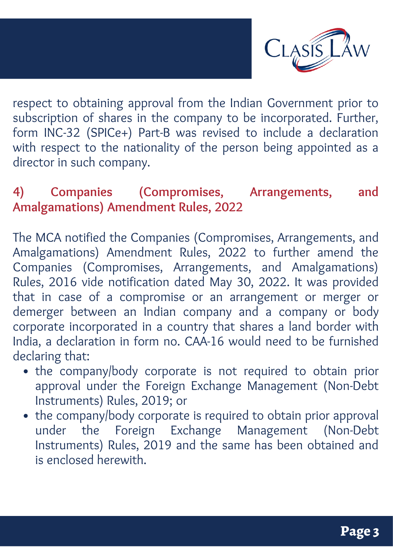

respect to obtaining approval from the Indian Government prior to subscription of shares in the company to be incorporated. Further, form INC-32 (SPICe+) Part-B was revised to include a declaration with respect to the nationality of the person being appointed as a director in such company.

## **4) Companies (Compromises, Arrangements, and Amalgamations) Amendment Rules, 2022**

The MCA notified the Companies (Compromises, Arrangements, and Amalgamations) Amendment Rules, 2022 to further amend the Companies (Compromises, Arrangements, and Amalgamations) Rules, 2016 vide notification dated May 30, 2022. It was provided that in case of a compromise or an arrangement or merger or demerger between an Indian company and a company or body corporate incorporated in a country that shares a land border with India, a declaration in form no. CAA-16 would need to be furnished declaring that:

- the company/body corporate is not required to obtain prior approval under the Foreign Exchange Management (Non-Debt Instruments) Rules, 2019; or
- the company/body corporate is required to obtain prior approval under the Foreign Exchange Management (Non-Debt Instruments) Rules, 2019 and the same has been obtained and is enclosed herewith.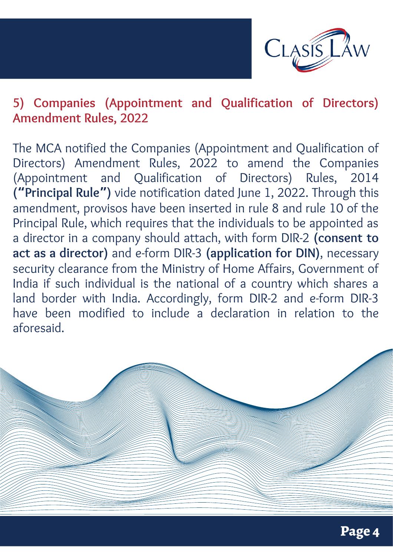

#### **5) Companies (Appointment and Qualification of Directors) Amendment Rules, 2022**

The MCA notified the Companies (Appointment and Qualification of Directors) Amendment Rules, 2022 to amend the Companies (Appointment and Qualification of Directors) Rules, 2014 **("Principal Rule")** vide notification dated June 1, 2022. Through this amendment, provisos have been inserted in rule 8 and rule 10 of the Principal Rule, which requires that the individuals to be appointed as a director in a company should attach, with form DIR-2 **(consent to act as a director)** and e-form DIR-3 **(application for DIN)**, necessary security clearance from the Ministry of Home Affairs, Government of India if such individual is the national of a country which shares a land border with India. Accordingly, form DIR-2 and e-form DIR-3 have been modified to include a declaration in relation to the aforesaid.